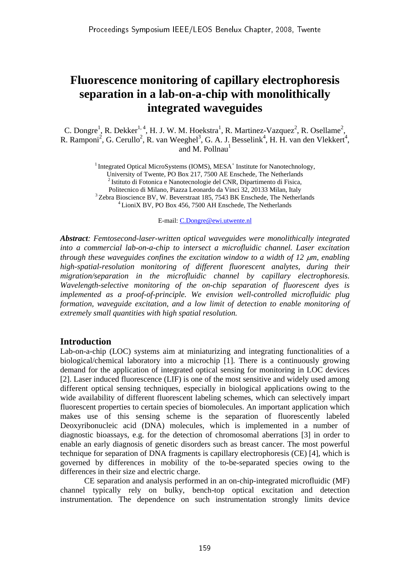# **Fluorescence monitoring of capillary electrophoresis separation in a lab-on-a-chip with monolithically integrated waveguides**

C. Dongre<sup>1</sup>, R. Dekker<sup>1, 4</sup>, H. J. W. M. Hoekstra<sup>1</sup>, R. Martinez-Vazquez<sup>2</sup>, R. Osellame<sup>2</sup>, R. Ramponi<sup>2</sup>, G. Cerullo<sup>2</sup>, R. van Weeghel<sup>3</sup>, G. A. J. Besselink<sup>4</sup>, H. H. van den Vlekkert<sup>4</sup>, and M. Pollnau $<sup>1</sup>$ </sup>

> <sup>1</sup> Integrated Optical MicroSystems (IOMS), MESA<sup>+</sup> Institute for Nanotechnology, University of Twente, PO Box 217, 7500 AE Enschede, The Netherlands  $2$ Istituto di Fotonica e Nanotecnologie del CNR, Dipartimento di Fisica, Politecnico di Milano, Piazza Leonardo da Vinci 32, 20133 Milan, Italy 3 Zebra Bioscience BV, W. Beverstraat 185, 7543 BK Enschede, The Netherlands 4 LioniX BV, PO Box 456, 7500 AH Enschede, The Netherlands

> > E-mail: C.Dongre@ewi.utwente.nl

*Abstract: Femtosecond-laser-written optical waveguides were monolithically integrated into a commercial lab-on-a-chip to intersect a microfluidic channel. Laser excitation through these waveguides confines the excitation window to a width of 12* μ*m, enabling high-spatial-resolution monitoring of different fluorescent analytes, during their migration/separation in the microfluidic channel by capillary electrophoresis. Wavelength-selective monitoring of the on-chip separation of fluorescent dyes is implemented as a proof-of-principle. We envision well-controlled microfluidic plug formation, waveguide excitation, and a low limit of detection to enable monitoring of extremely small quantities with high spatial resolution.* 

## **Introduction**

Lab-on-a-chip (LOC) systems aim at miniaturizing and integrating functionalities of a biological/chemical laboratory into a microchip [1]. There is a continuously growing demand for the application of integrated optical sensing for monitoring in LOC devices [2]. Laser induced fluorescence (LIF) is one of the most sensitive and widely used among different optical sensing techniques, especially in biological applications owing to the wide availability of different fluorescent labeling schemes, which can selectively impart fluorescent properties to certain species of biomolecules. An important application which makes use of this sensing scheme is the separation of fluorescently labeled Deoxyribonucleic acid (DNA) molecules, which is implemented in a number of diagnostic bioassays, e.g. for the detection of chromosomal aberrations [3] in order to enable an early diagnosis of genetic disorders such as breast cancer. The most powerful technique for separation of DNA fragments is capillary electrophoresis (CE) [4], which is governed by differences in mobility of the to-be-separated species owing to the differences in their size and electric charge.

 CE separation and analysis performed in an on-chip-integrated microfluidic (MF) channel typically rely on bulky, bench-top optical excitation and detection instrumentation. The dependence on such instrumentation strongly limits device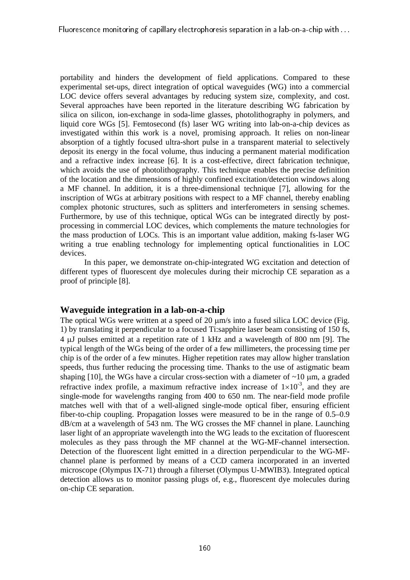portability and hinders the development of field applications. Compared to these experimental set-ups, direct integration of optical waveguides (WG) into a commercial LOC device offers several advantages by reducing system size, complexity, and cost. Several approaches have been reported in the literature describing WG fabrication by silica on silicon, ion-exchange in soda-lime glasses, photolithography in polymers, and liquid core WGs [5]. Femtosecond (fs) laser WG writing into lab-on-a-chip devices as investigated within this work is a novel, promising approach. It relies on non-linear absorption of a tightly focused ultra-short pulse in a transparent material to selectively deposit its energy in the focal volume, thus inducing a permanent material modification and a refractive index increase [6]. It is a cost-effective, direct fabrication technique, which avoids the use of photolithography. This technique enables the precise definition of the location and the dimensions of highly confined excitation/detection windows along a MF channel. In addition, it is a three-dimensional technique [7], allowing for the inscription of WGs at arbitrary positions with respect to a MF channel, thereby enabling complex photonic structures, such as splitters and interferometers in sensing schemes. Furthermore, by use of this technique, optical WGs can be integrated directly by postprocessing in commercial LOC devices, which complements the mature technologies for the mass production of LOCs. This is an important value addition, making fs-laser WG writing a true enabling technology for implementing optical functionalities in LOC devices.

 In this paper, we demonstrate on-chip-integrated WG excitation and detection of different types of fluorescent dye molecules during their microchip CE separation as a proof of principle [8].

## **Waveguide integration in a lab-on-a-chip**

The optical WGs were written at a speed of 20 μm/s into a fused silica LOC device (Fig. 1) by translating it perpendicular to a focused Ti:sapphire laser beam consisting of 150 fs, 4 μJ pulses emitted at a repetition rate of 1 kHz and a wavelength of 800 nm [9]. The typical length of the WGs being of the order of a few millimeters, the processing time per chip is of the order of a few minutes. Higher repetition rates may allow higher translation speeds, thus further reducing the processing time. Thanks to the use of astigmatic beam shaping [10], the WGs have a circular cross-section with a diameter of  $\sim$ 10  $\mu$ m, a graded refractive index profile, a maximum refractive index increase of  $1\times10^{-3}$ , and they are single-mode for wavelengths ranging from 400 to 650 nm. The near-field mode profile matches well with that of a well-aligned single-mode optical fiber, ensuring efficient fiber-to-chip coupling. Propagation losses were measured to be in the range of 0.5–0.9 dB/cm at a wavelength of 543 nm. The WG crosses the MF channel in plane. Launching laser light of an appropriate wavelength into the WG leads to the excitation of fluorescent molecules as they pass through the MF channel at the WG-MF-channel intersection. Detection of the fluorescent light emitted in a direction perpendicular to the WG-MFchannel plane is performed by means of a CCD camera incorporated in an inverted microscope (Olympus IX-71) through a filterset (Olympus U-MWIB3). Integrated optical detection allows us to monitor passing plugs of, e.g., fluorescent dye molecules during on-chip CE separation.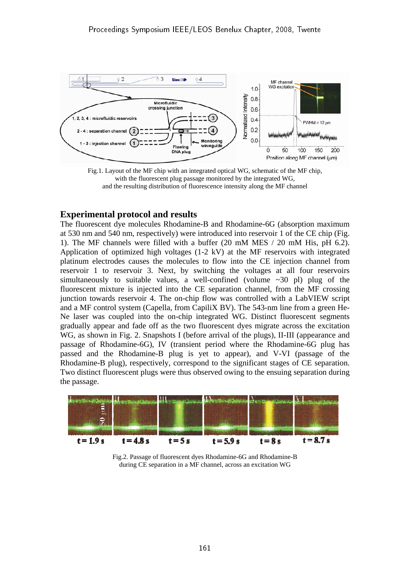

Fig.1. Layout of the MF chip with an integrated optical WG, schematic of the MF chip, with the fluorescent plug passage monitored by the integrated WG, and the resulting distribution of fluorescence intensity along the MF channel

# **Experimental protocol and results**

The fluorescent dye molecules Rhodamine-B and Rhodamine-6G (absorption maximum at 530 nm and 540 nm, respectively) were introduced into reservoir 1 of the CE chip (Fig. 1). The MF channels were filled with a buffer (20 mM MES / 20 mM His, pH 6.2). Application of optimized high voltages (1-2 kV) at the MF reservoirs with integrated platinum electrodes causes the molecules to flow into the CE injection channel from reservoir 1 to reservoir 3. Next, by switching the voltages at all four reservoirs simultaneously to suitable values, a well-confined (volume  $\sim$ 30 pl) plug of the fluorescent mixture is injected into the CE separation channel, from the MF crossing junction towards reservoir 4. The on-chip flow was controlled with a LabVIEW script and a MF control system (Capella, from CapiliX BV). The 543-nm line from a green He-Ne laser was coupled into the on-chip integrated WG. Distinct fluorescent segments gradually appear and fade off as the two fluorescent dyes migrate across the excitation WG, as shown in Fig. 2. Snapshots I (before arrival of the plugs), II-III (appearance and passage of Rhodamine-6G), IV (transient period where the Rhodamine-6G plug has passed and the Rhodamine-B plug is yet to appear), and V-VI (passage of the Rhodamine-B plug), respectively, correspond to the significant stages of CE separation. Two distinct fluorescent plugs were thus observed owing to the ensuing separation during the passage.